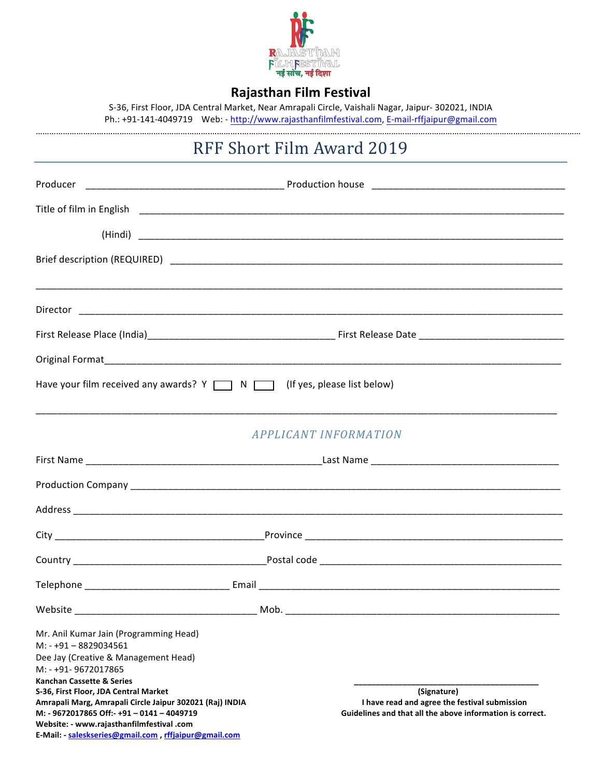

# **Rajasthan Film Festival**

S-36, First Floor, JDA Central Market, Near Amrapali Circle, Vaishali Nagar, Jaipur- 302021, INDIA Ph.: +91-141-4049719 Web: - http://www.rajasthanfilmfestival.com, E-mail-rffjaipur@gmail.com

# RFF Short Film Award 2019

|                                                                                                                                                                                                                  | ,我们也不能会在这里的,我们也不能会在这里,我们也不能会在这里,我们也不能会在这里,我们也不能会在这里,我们也不能会在这里,我们也不能会不能会不能会。""我们,我                          |  |  |  |
|------------------------------------------------------------------------------------------------------------------------------------------------------------------------------------------------------------------|------------------------------------------------------------------------------------------------------------|--|--|--|
|                                                                                                                                                                                                                  |                                                                                                            |  |  |  |
|                                                                                                                                                                                                                  |                                                                                                            |  |  |  |
|                                                                                                                                                                                                                  |                                                                                                            |  |  |  |
| Have your film received any awards? $Y \cap N \cap$ (If yes, please list below)                                                                                                                                  |                                                                                                            |  |  |  |
|                                                                                                                                                                                                                  |                                                                                                            |  |  |  |
|                                                                                                                                                                                                                  | <b>APPLICANT INFORMATION</b>                                                                               |  |  |  |
|                                                                                                                                                                                                                  |                                                                                                            |  |  |  |
|                                                                                                                                                                                                                  |                                                                                                            |  |  |  |
|                                                                                                                                                                                                                  |                                                                                                            |  |  |  |
|                                                                                                                                                                                                                  |                                                                                                            |  |  |  |
|                                                                                                                                                                                                                  |                                                                                                            |  |  |  |
|                                                                                                                                                                                                                  |                                                                                                            |  |  |  |
| Website                                                                                                                                                                                                          | Mob.                                                                                                       |  |  |  |
| Mr. Anil Kumar Jain (Programming Head)<br>$M: -+91 - 8829034561$<br>Dee Jay (Creative & Management Head)<br>M: - +91-9672017865<br><b>Kanchan Cassette &amp; Series</b><br>S-36, First Floor, JDA Central Market | (Signature)                                                                                                |  |  |  |
| Amrapali Marg, Amrapali Circle Jaipur 302021 (Raj) INDIA<br>M: - 9672017865 Off:- +91 - 0141 - 4049719                                                                                                           | I have read and agree the festival submission<br>Guidelines and that all the above information is correct. |  |  |  |
| Website: - www.rajasthanfilmfestival .com<br>E-Mail: - saleskseries@gmail.com, rffjaipur@gmail.com                                                                                                               |                                                                                                            |  |  |  |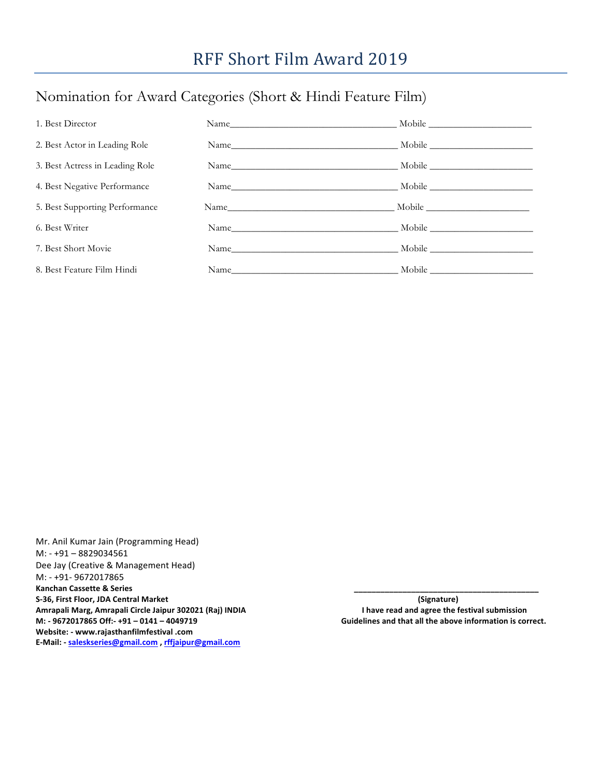# Nomination for Award Categories (Short & Hindi Feature Film)

| 1. Best Director                |                           |  |
|---------------------------------|---------------------------|--|
| 2. Best Actor in Leading Role   |                           |  |
| 3. Best Actress in Leading Role |                           |  |
| 4. Best Negative Performance    |                           |  |
| 5. Best Supporting Performance  |                           |  |
| 6. Best Writer                  | Name Mobile Mobile Mobile |  |
| 7. Best Short Movie             | Name Mobile Mobile Mobile |  |
| 8. Best Feature Film Hindi      |                           |  |

Mr. Anil Kumar Jain (Programming Head) M: - +91 – 8829034561 Dee Jay (Creative & Management Head) M: - +91- 9672017865 Kanchan Cassette & Series S-36, First Floor, JDA Central Market **by a computer of the computer of the computer of the computer of the computer of the computer of the computer of the computer of the computer of the computer of the computer of the co** Amrapali Marg, Amrapali Circle Jaipur 302021 (Raj) INDIA **Amrapali Margent and and agree the festival submission** M: - 9672017865 Off:- +91 - 0141 - 4049719 **And the above information** is correct. **Website: - www.rajasthanfilmfestival .com E-Mail: - saleskseries@gmail.com , rffjaipur@gmail.com**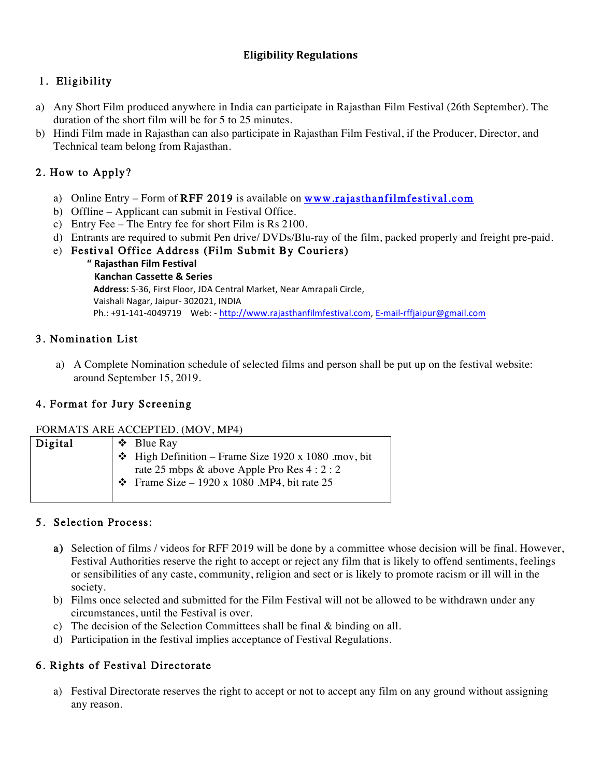## **Eligibility Regulations**

## 1. Eligibility

- a) Any Short Film produced anywhere in India can participate in Rajasthan Film Festival (26th September). The duration of the short film will be for 5 to 25 minutes.
- b) Hindi Film made in Rajasthan can also participate in Rajasthan Film Festival, if the Producer, Director, and Technical team belong from Rajasthan.

## 2. How to Apply?

- a) Online Entry Form of RFF 2019 is available on  $www$ **rajasthanfilmfestival.com**
- b) Offline Applicant can submit in Festival Office.
- c) Entry Fee The Entry fee for short Film is Rs 2100.
- d) Entrants are required to submit Pen drive/ DVDs/Blu-ray of the film, packed properly and freight pre-paid.
- e) Festival Office Address (Film Submit By Couriers)
	- **" Rajasthan Film Festival**

**Kanchan Cassette & Series** Address: S-36, First Floor, JDA Central Market, Near Amrapali Circle, Vaishali Nagar, Jaipur- 302021, INDIA Ph.: +91-141-4049719 Web: - http://www.rajasthanfilmfestival.com, E-mail-rffjaipur@gmail.com

## 3. Nomination List

a) A Complete Nomination schedule of selected films and person shall be put up on the festival website: around September 15, 2019.

## 4. Format for Jury Screening

#### FORMATS ARE ACCEPTED. (MOV, MP4)

| Digital |  | ↑ Blue Ray                                                |
|---------|--|-----------------------------------------------------------|
|         |  | $\div$ High Definition – Frame Size 1920 x 1080 .mov, bit |
|         |  | rate 25 mbps & above Apple Pro Res $4:2:2$                |
|         |  | $\div$ Frame Size – 1920 x 1080 .MP4, bit rate 25         |
|         |  |                                                           |

## 5. Selection Process:

- a) Selection of films / videos for RFF 2019 will be done by a committee whose decision will be final. However, Festival Authorities reserve the right to accept or reject any film that is likely to offend sentiments, feelings or sensibilities of any caste, community, religion and sect or is likely to promote racism or ill will in the society.
- b) Films once selected and submitted for the Film Festival will not be allowed to be withdrawn under any circumstances, until the Festival is over.
- c) The decision of the Selection Committees shall be final & binding on all.
- d) Participation in the festival implies acceptance of Festival Regulations.

## 6. Rights of Festival Directorate

a) Festival Directorate reserves the right to accept or not to accept any film on any ground without assigning any reason.